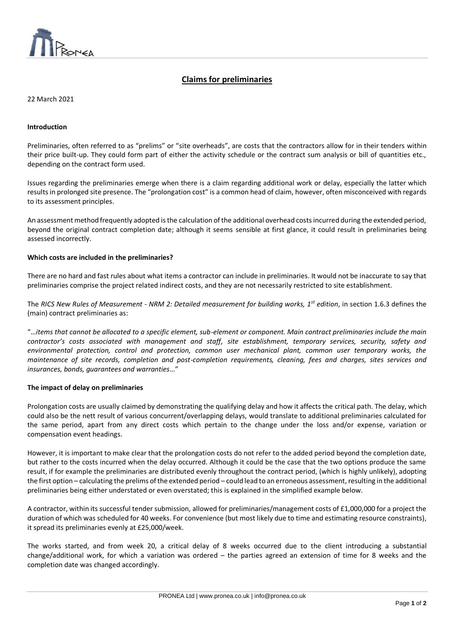

# **Claims for preliminaries**

 $\overline{a}$ 

22 March 2021

#### **Introduction**

Preliminaries, often referred to as "prelims" or "site overheads", are costs that the contractors allow for in their tenders within their price built-up. They could form part of either the activity schedule or the contract sum analysis or bill of quantities etc., depending on the contract form used.

Issues regarding the preliminaries emerge when there is a claim regarding additional work or delay, especially the latter which results in prolonged site presence. The "prolongation cost" is a common head of claim, however, often misconceived with regards to its assessment principles.

An assessment method frequently adopted is the calculation of the additional overhead costs incurred during the extended period, beyond the original contract completion date; although it seems sensible at first glance, it could result in preliminaries being assessed incorrectly.

#### **Which costs are included in the preliminaries?**

There are no hard and fast rules about what items a contractor can include in preliminaries. It would not be inaccurate to say that preliminaries comprise the project related indirect costs, and they are not necessarily restricted to site establishment.

The *RICS New Rules of Measurement - NRM 2: Detailed measurement for building works, 1st edition*, in section 1.6.3 defines the (main) contract preliminaries as:

"…*items that cannot be allocated to a specific element, sub-element or component. Main contract preliminaries include the main contractor's costs associated with management and staff, site establishment, temporary services, security, safety and environmental protection, control and protection, common user mechanical plant, common user temporary works, the maintenance of site records, completion and post-completion requirements, cleaning, fees and charges, sites services and insurances, bonds, guarantees and warranties*…"

## **The impact of delay on preliminaries**

Prolongation costs are usually claimed by demonstrating the qualifying delay and how it affects the critical path. The delay, which could also be the nett result of various concurrent/overlapping delays, would translate to additional preliminaries calculated for the same period, apart from any direct costs which pertain to the change under the loss and/or expense, variation or compensation event headings.

However, it is important to make clear that the prolongation costs do not refer to the added period beyond the completion date, but rather to the costs incurred when the delay occurred. Although it could be the case that the two options produce the same result, if for example the preliminaries are distributed evenly throughout the contract period, (which is highly unlikely), adopting the first option – calculating the prelims of the extended period – could lead to an erroneous assessment, resulting in the additional preliminaries being either understated or even overstated; this is explained in the simplified example below.

A contractor, within its successful tender submission, allowed for preliminaries/management costs of £1,000,000 for a project the duration of which was scheduled for 40 weeks. For convenience (but most likely due to time and estimating resource constraints), it spread its preliminaries evenly at £25,000/week.

The works started, and from week 20, a critical delay of 8 weeks occurred due to the client introducing a substantial change/additional work, for which a variation was ordered – the parties agreed an extension of time for 8 weeks and the completion date was changed accordingly.